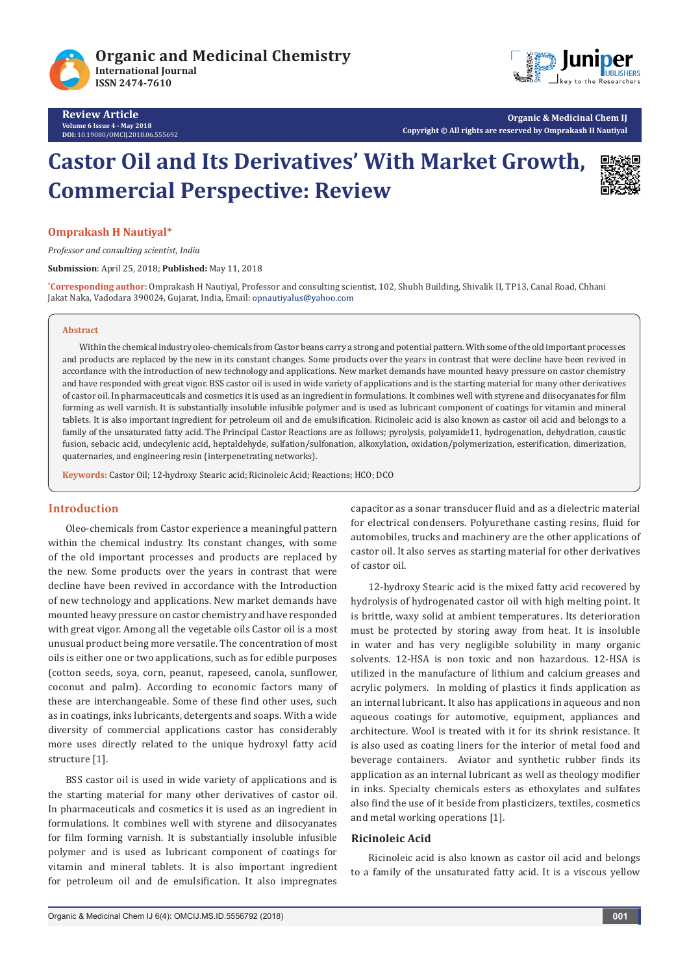



**Organic & Medicinal Chem IJ Copyright © All rights are reserved by Omprakash H Nautiyal**

# **Castor Oil and Its Derivatives' With Market Growth, Commercial Perspective: Review**



#### **Omprakash H Nautiyal\***

*Professor and consulting scientist, India*

**Submission**: April 25, 2018; **Published:** May 11, 2018

**\* Corresponding author:** Omprakash H Nautiyal, Professor and consulting scientist, 102, Shubh Building, Shivalik II, TP13, Canal Road, Chhani Jakat Naka, Vadodara 390024, Gujarat, India, Email: opnautiyalus@yahoo.com

#### **Abstract**

Within the chemical industry oleo-chemicals from Castor beans carry a strong and potential pattern. With some of the old important processes and products are replaced by the new in its constant changes. Some products over the years in contrast that were decline have been revived in accordance with the introduction of new technology and applications. New market demands have mounted heavy pressure on castor chemistry and have responded with great vigor. BSS castor oil is used in wide variety of applications and is the starting material for many other derivatives of castor oil. In pharmaceuticals and cosmetics it is used as an ingredient in formulations. It combines well with styrene and diisocyanates for film forming as well varnish. It is substantially insoluble infusible polymer and is used as lubricant component of coatings for vitamin and mineral tablets. It is also important ingredient for petroleum oil and de emulsification. Ricinoleic acid is also known as castor oil acid and belongs to a family of the unsaturated fatty acid. The Principal Castor Reactions are as follows; pyrolysis, polyamide11, hydrogenation, dehydration, caustic fusion, sebacic acid, undecylenic acid, heptaldehyde, sulfation/sulfonation, alkoxylation, oxidation/polymerization, esterification, dimerization, quaternaries, and engineering resin (interpenetrating networks).

**Keywords:** Castor Oil; 12-hydroxy Stearic acid; Ricinoleic Acid; Reactions; HCO; DCO

### **Introduction**

Oleo-chemicals from Castor experience a meaningful pattern within the chemical industry. Its constant changes, with some of the old important processes and products are replaced by the new. Some products over the years in contrast that were decline have been revived in accordance with the Introduction of new technology and applications. New market demands have mounted heavy pressure on castor chemistry and have responded with great vigor. Among all the vegetable oils Castor oil is a most unusual product being more versatile. The concentration of most oils is either one or two applications, such as for edible purposes (cotton seeds, soya, corn, peanut, rapeseed, canola, sunflower, coconut and palm). According to economic factors many of these are interchangeable. Some of these find other uses, such as in coatings, inks lubricants, detergents and soaps. With a wide diversity of commercial applications castor has considerably more uses directly related to the unique hydroxyl fatty acid structure [1].

BSS castor oil is used in wide variety of applications and is the starting material for many other derivatives of castor oil. In pharmaceuticals and cosmetics it is used as an ingredient in formulations. It combines well with styrene and diisocyanates for film forming varnish. It is substantially insoluble infusible polymer and is used as lubricant component of coatings for vitamin and mineral tablets. It is also important ingredient for petroleum oil and de emulsification. It also impregnates capacitor as a sonar transducer fluid and as a dielectric material for electrical condensers. Polyurethane casting resins, fluid for automobiles, trucks and machinery are the other applications of castor oil. It also serves as starting material for other derivatives of castor oil.

12-hydroxy Stearic acid is the mixed fatty acid recovered by hydrolysis of hydrogenated castor oil with high melting point. It is brittle, waxy solid at ambient temperatures. Its deterioration must be protected by storing away from heat. It is insoluble in water and has very negligible solubility in many organic solvents. 12-HSA is non toxic and non hazardous. 12-HSA is utilized in the manufacture of lithium and calcium greases and acrylic polymers. In molding of plastics it finds application as an internal lubricant. It also has applications in aqueous and non aqueous coatings for automotive, equipment, appliances and architecture. Wool is treated with it for its shrink resistance. It is also used as coating liners for the interior of metal food and beverage containers. Aviator and synthetic rubber finds its application as an internal lubricant as well as theology modifier in inks. Specialty chemicals esters as ethoxylates and sulfates also find the use of it beside from plasticizers, textiles, cosmetics and metal working operations [1].

#### **Ricinoleic Acid**

Ricinoleic acid is also known as castor oil acid and belongs to a family of the unsaturated fatty acid. It is a viscous yellow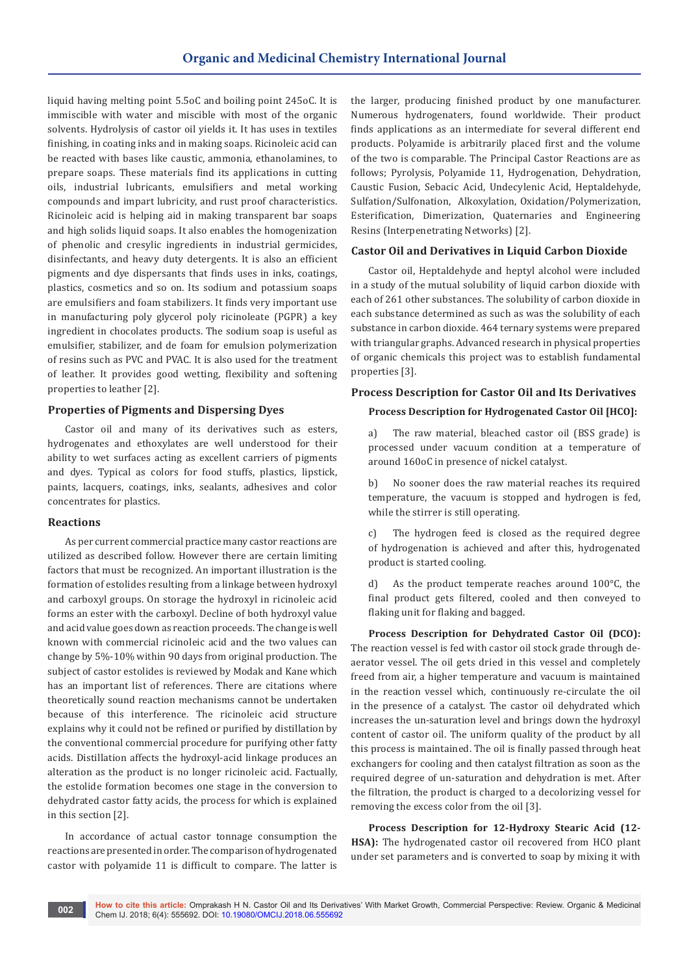liquid having melting point 5.5oC and boiling point 245oC. It is immiscible with water and miscible with most of the organic solvents. Hydrolysis of castor oil yields it. It has uses in textiles finishing, in coating inks and in making soaps. Ricinoleic acid can be reacted with bases like caustic, ammonia, ethanolamines, to prepare soaps. These materials find its applications in cutting oils, industrial lubricants, emulsifiers and metal working compounds and impart lubricity, and rust proof characteristics. Ricinoleic acid is helping aid in making transparent bar soaps and high solids liquid soaps. It also enables the homogenization of phenolic and cresylic ingredients in industrial germicides, disinfectants, and heavy duty detergents. It is also an efficient pigments and dye dispersants that finds uses in inks, coatings, plastics, cosmetics and so on. Its sodium and potassium soaps are emulsifiers and foam stabilizers. It finds very important use in manufacturing poly glycerol poly ricinoleate (PGPR) a key ingredient in chocolates products. The sodium soap is useful as emulsifier, stabilizer, and de foam for emulsion polymerization of resins such as PVC and PVAC. It is also used for the treatment of leather. It provides good wetting, flexibility and softening properties to leather [2].

# **Properties of Pigments and Dispersing Dyes**

Castor oil and many of its derivatives such as esters, hydrogenates and ethoxylates are well understood for their ability to wet surfaces acting as excellent carriers of pigments and dyes. Typical as colors for food stuffs, plastics, lipstick, paints, lacquers, coatings, inks, sealants, adhesives and color concentrates for plastics.

### **Reactions**

As per current commercial practice many castor reactions are utilized as described follow. However there are certain limiting factors that must be recognized. An important illustration is the formation of estolides resulting from a linkage between hydroxyl and carboxyl groups. On storage the hydroxyl in ricinoleic acid forms an ester with the carboxyl. Decline of both hydroxyl value and acid value goes down as reaction proceeds. The change is well known with commercial ricinoleic acid and the two values can change by 5%-10% within 90 days from original production. The subject of castor estolides is reviewed by Modak and Kane which has an important list of references. There are citations where theoretically sound reaction mechanisms cannot be undertaken because of this interference. The ricinoleic acid structure explains why it could not be refined or purified by distillation by the conventional commercial procedure for purifying other fatty acids. Distillation affects the hydroxyl-acid linkage produces an alteration as the product is no longer ricinoleic acid. Factually, the estolide formation becomes one stage in the conversion to dehydrated castor fatty acids, the process for which is explained in this section [2].

In accordance of actual castor tonnage consumption the reactions are presented in order. The comparison of hydrogenated castor with polyamide 11 is difficult to compare. The latter is

the larger, producing finished product by one manufacturer. Numerous hydrogenaters, found worldwide. Their product finds applications as an intermediate for several different end products. Polyamide is arbitrarily placed first and the volume of the two is comparable. The Principal Castor Reactions are as follows; Pyrolysis, Polyamide 11, Hydrogenation, Dehydration, Caustic Fusion, Sebacic Acid, Undecylenic Acid, Heptaldehyde, Sulfation/Sulfonation, Alkoxylation, Oxidation/Polymerization, Esterification, Dimerization, Quaternaries and Engineering Resins (Interpenetrating Networks) [2].

# **Castor Oil and Derivatives in Liquid Carbon Dioxide**

Castor oil, Heptaldehyde and heptyl alcohol were included in a study of the mutual solubility of liquid carbon dioxide with each of 261 other substances. The solubility of carbon dioxide in each substance determined as such as was the solubility of each substance in carbon dioxide. 464 ternary systems were prepared with triangular graphs. Advanced research in physical properties of organic chemicals this project was to establish fundamental properties [3].

# **Process Description for Castor Oil and Its Derivatives**

# **Process Description for Hydrogenated Castor Oil [HCO]:**

a) The raw material, bleached castor oil (BSS grade) is processed under vacuum condition at a temperature of around 160oC in presence of nickel catalyst.

b) No sooner does the raw material reaches its required temperature, the vacuum is stopped and hydrogen is fed, while the stirrer is still operating.

c) The hydrogen feed is closed as the required degree of hydrogenation is achieved and after this, hydrogenated product is started cooling.

d) As the product temperate reaches around 100°C, the final product gets filtered, cooled and then conveyed to flaking unit for flaking and bagged.

**Process Description for Dehydrated Castor Oil (DCO):** The reaction vessel is fed with castor oil stock grade through deaerator vessel. The oil gets dried in this vessel and completely freed from air, a higher temperature and vacuum is maintained in the reaction vessel which, continuously re-circulate the oil in the presence of a catalyst. The castor oil dehydrated which increases the un-saturation level and brings down the hydroxyl content of castor oil. The uniform quality of the product by all this process is maintained. The oil is finally passed through heat exchangers for cooling and then catalyst filtration as soon as the required degree of un-saturation and dehydration is met. After the filtration, the product is charged to a decolorizing vessel for removing the excess color from the oil [3].

**Process Description for 12-Hydroxy Stearic Acid (12- HSA):** The hydrogenated castor oil recovered from HCO plant under set parameters and is converted to soap by mixing it with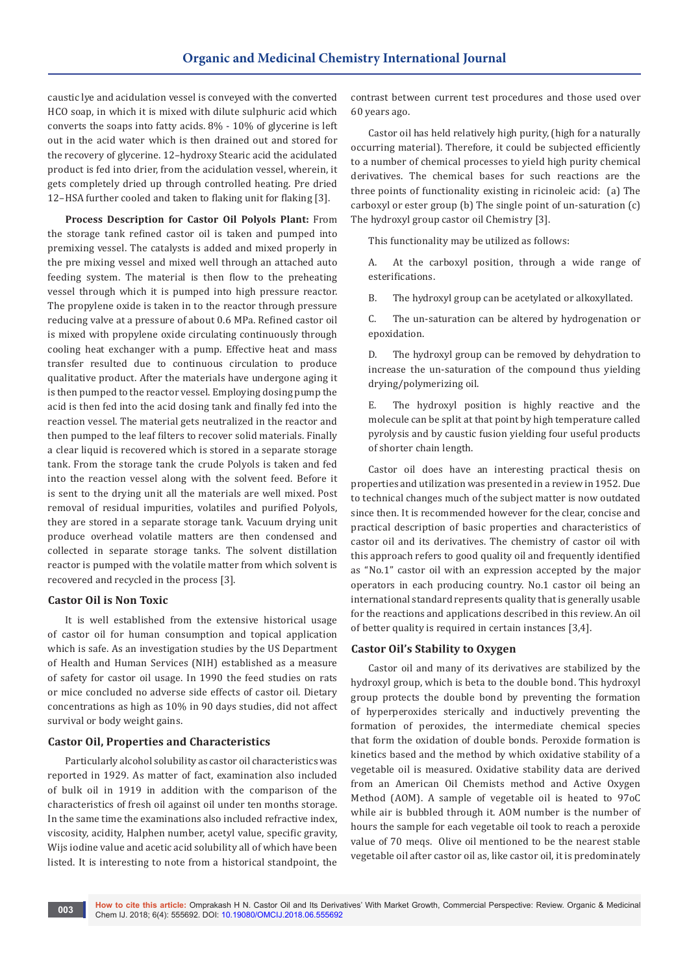caustic lye and acidulation vessel is conveyed with the converted HCO soap, in which it is mixed with dilute sulphuric acid which converts the soaps into fatty acids. 8% - 10% of glycerine is left out in the acid water which is then drained out and stored for the recovery of glycerine. 12–hydroxy Stearic acid the acidulated product is fed into drier, from the acidulation vessel, wherein, it gets completely dried up through controlled heating. Pre dried 12–HSA further cooled and taken to flaking unit for flaking [3].

**Process Description for Castor Oil Polyols Plant:** From the storage tank refined castor oil is taken and pumped into premixing vessel. The catalysts is added and mixed properly in the pre mixing vessel and mixed well through an attached auto feeding system. The material is then flow to the preheating vessel through which it is pumped into high pressure reactor. The propylene oxide is taken in to the reactor through pressure reducing valve at a pressure of about 0.6 MPa. Refined castor oil is mixed with propylene oxide circulating continuously through cooling heat exchanger with a pump. Effective heat and mass transfer resulted due to continuous circulation to produce qualitative product. After the materials have undergone aging it is then pumped to the reactor vessel. Employing dosing pump the acid is then fed into the acid dosing tank and finally fed into the reaction vessel. The material gets neutralized in the reactor and then pumped to the leaf filters to recover solid materials. Finally a clear liquid is recovered which is stored in a separate storage tank. From the storage tank the crude Polyols is taken and fed into the reaction vessel along with the solvent feed. Before it is sent to the drying unit all the materials are well mixed. Post removal of residual impurities, volatiles and purified Polyols, they are stored in a separate storage tank. Vacuum drying unit produce overhead volatile matters are then condensed and collected in separate storage tanks. The solvent distillation reactor is pumped with the volatile matter from which solvent is recovered and recycled in the process [3].

# **Castor Oil is Non Toxic**

It is well established from the extensive historical usage of castor oil for human consumption and topical application which is safe. As an investigation studies by the US Department of Health and Human Services (NIH) established as a measure of safety for castor oil usage. In 1990 the feed studies on rats or mice concluded no adverse side effects of castor oil. Dietary concentrations as high as 10% in 90 days studies, did not affect survival or body weight gains.

#### **Castor Oil, Properties and Characteristics**

Particularly alcohol solubility as castor oil characteristics was reported in 1929. As matter of fact, examination also included of bulk oil in 1919 in addition with the comparison of the characteristics of fresh oil against oil under ten months storage. In the same time the examinations also included refractive index, viscosity, acidity, Halphen number, acetyl value, specific gravity, Wijs iodine value and acetic acid solubility all of which have been listed. It is interesting to note from a historical standpoint, the

contrast between current test procedures and those used over 60 years ago.

Castor oil has held relatively high purity, (high for a naturally occurring material). Therefore, it could be subjected efficiently to a number of chemical processes to yield high purity chemical derivatives. The chemical bases for such reactions are the three points of functionality existing in ricinoleic acid: (a) The carboxyl or ester group (b) The single point of un-saturation (c) The hydroxyl group castor oil Chemistry [3].

This functionality may be utilized as follows:

A. At the carboxyl position, through a wide range of esterifications.

B. The hydroxyl group can be acetylated or alkoxyllated.

C. The un-saturation can be altered by hydrogenation or epoxidation.

D. The hydroxyl group can be removed by dehydration to increase the un-saturation of the compound thus yielding drying/polymerizing oil.

E. The hydroxyl position is highly reactive and the molecule can be split at that point by high temperature called pyrolysis and by caustic fusion yielding four useful products of shorter chain length.

Castor oil does have an interesting practical thesis on properties and utilization was presented in a review in 1952. Due to technical changes much of the subject matter is now outdated since then. It is recommended however for the clear, concise and practical description of basic properties and characteristics of castor oil and its derivatives. The chemistry of castor oil with this approach refers to good quality oil and frequently identified as "No.1" castor oil with an expression accepted by the major operators in each producing country. No.1 castor oil being an international standard represents quality that is generally usable for the reactions and applications described in this review. An oil of better quality is required in certain instances [3,4].

### **Castor Oil's Stability to Oxygen**

Castor oil and many of its derivatives are stabilized by the hydroxyl group, which is beta to the double bond. This hydroxyl group protects the double bond by preventing the formation of hyperperoxides sterically and inductively preventing the formation of peroxides, the intermediate chemical species that form the oxidation of double bonds. Peroxide formation is kinetics based and the method by which oxidative stability of a vegetable oil is measured. Oxidative stability data are derived from an American Oil Chemists method and Active Oxygen Method (AOM). A sample of vegetable oil is heated to 97oC while air is bubbled through it. AOM number is the number of hours the sample for each vegetable oil took to reach a peroxide value of 70 meqs. Olive oil mentioned to be the nearest stable vegetable oil after castor oil as, like castor oil, it is predominately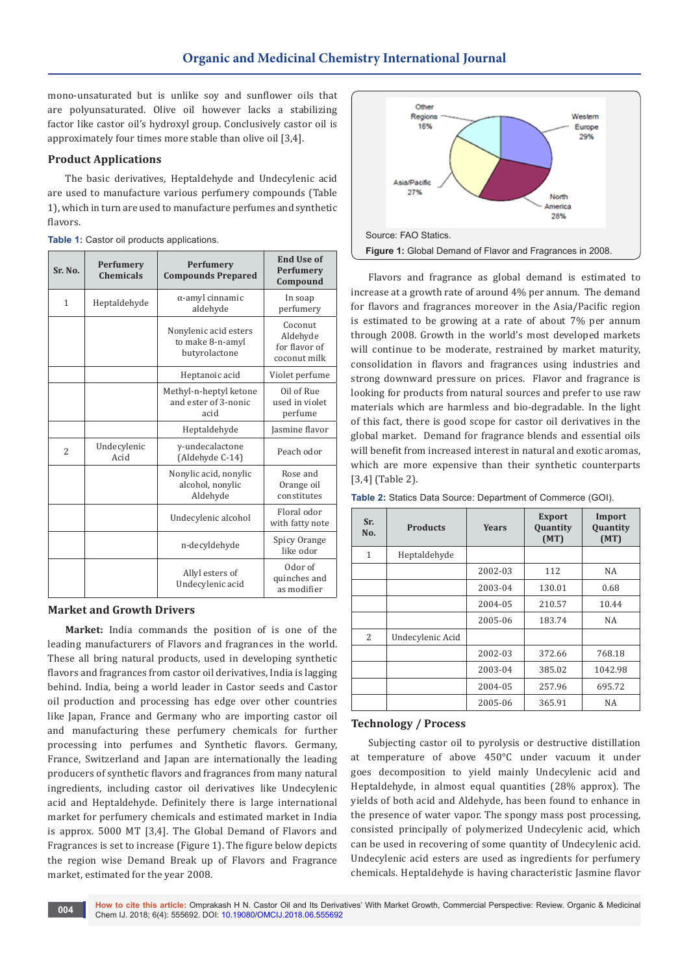mono-unsaturated but is unlike soy and sunflower oils that are polyunsaturated. Olive oil however lacks a stabilizing factor like castor oil's hydroxyl group. Conclusively castor oil is approximately four times more stable than olive oil [3,4].

# **Product Applications**

The basic derivatives, Heptaldehyde and Undecylenic acid are used to manufacture various perfumery compounds (Table 1), which in turn are used to manufacture perfumes and synthetic flavors.

| Table 1: Castor oil products applications. |  |  |  |
|--------------------------------------------|--|--|--|
|--------------------------------------------|--|--|--|

| Sr. No.        | <b>Perfumery</b><br><b>Chemicals</b> | Perfumery<br><b>Compounds Prepared</b>                     | <b>End Use of</b><br><b>Perfumery</b><br>Compound    |
|----------------|--------------------------------------|------------------------------------------------------------|------------------------------------------------------|
| 1              | Heptaldehyde                         | $\alpha$ -amyl cinnamic<br>aldehyde                        | In soap<br>perfumery                                 |
|                |                                      | Nonylenic acid esters<br>to make 8-n-amyl<br>butyrolactone | Coconut<br>Aldehyde<br>for flavor of<br>coconut milk |
|                |                                      | Heptanoic acid                                             | Violet perfume                                       |
|                |                                      | Methyl-n-heptyl ketone<br>and ester of 3-nonic<br>acid     | Oil of Rue<br>used in violet<br>perfume              |
|                |                                      | Heptaldehyde                                               | Jasmine flavor                                       |
| $\overline{2}$ | Undecylenic<br>Acid                  | y-undecalactone<br>(Aldehyde C-14)                         | Peach odor                                           |
|                |                                      | Nonylic acid, nonylic<br>alcohol, nonylic<br>Aldehyde      | Rose and<br>Orange oil<br>constitutes                |
|                |                                      | Undecylenic alcohol                                        | Floral odor<br>with fatty note                       |
|                |                                      | n-decyldehyde                                              | Spicy Orange<br>like odor                            |
|                |                                      | Allyl esters of<br>Undecylenic acid                        | Odor of<br>quinches and<br>as modifier               |

#### **Market and Growth Drivers**

**Market:** India commands the position of is one of the leading manufacturers of Flavors and fragrances in the world. These all bring natural products, used in developing synthetic flavors and fragrances from castor oil derivatives, India is lagging behind. India, being a world leader in Castor seeds and Castor oil production and processing has edge over other countries like Japan, France and Germany who are importing castor oil and manufacturing these perfumery chemicals for further processing into perfumes and Synthetic flavors. Germany, France, Switzerland and Japan are internationally the leading producers of synthetic flavors and fragrances from many natural ingredients, including castor oil derivatives like Undecylenic acid and Heptaldehyde. Definitely there is large international market for perfumery chemicals and estimated market in India is approx. 5000 MT [3,4]. The Global Demand of Flavors and Fragrances is set to increase (Figure 1). The figure below depicts the region wise Demand Break up of Flavors and Fragrance market, estimated for the year 2008.



Flavors and fragrance as global demand is estimated to increase at a growth rate of around 4% per annum. The demand for flavors and fragrances moreover in the Asia/Pacific region is estimated to be growing at a rate of about 7% per annum through 2008. Growth in the world's most developed markets will continue to be moderate, restrained by market maturity, consolidation in flavors and fragrances using industries and strong downward pressure on prices. Flavor and fragrance is looking for products from natural sources and prefer to use raw materials which are harmless and bio-degradable. In the light of this fact, there is good scope for castor oil derivatives in the global market. Demand for fragrance blends and essential oils will benefit from increased interest in natural and exotic aromas, which are more expensive than their synthetic counterparts [3,4] (Table 2).

| Table 2: Statics Data Source: Department of Commerce (GOI). |  |
|-------------------------------------------------------------|--|
|-------------------------------------------------------------|--|

| Sr.<br>No.   | <b>Products</b>  | Years   | <b>Export</b><br><b>Quantity</b><br>(MT) | Import<br>Quantity<br>(MT) |
|--------------|------------------|---------|------------------------------------------|----------------------------|
| $\mathbf{1}$ | Heptaldehyde     |         |                                          |                            |
|              |                  | 2002-03 | 112                                      | NA                         |
|              |                  | 2003-04 | 130.01                                   | 0.68                       |
|              |                  | 2004-05 | 210.57                                   | 10.44                      |
|              |                  | 2005-06 | 183.74                                   | NA                         |
| 2            | Undecylenic Acid |         |                                          |                            |
|              |                  | 2002-03 | 372.66                                   | 768.18                     |
|              |                  | 2003-04 | 385.02                                   | 1042.98                    |
|              |                  | 2004-05 | 257.96                                   | 695.72                     |
|              |                  | 2005-06 | 365.91                                   | NA                         |

### **Technology / Process**

Subjecting castor oil to pyrolysis or destructive distillation at temperature of above 450°C under vacuum it under goes decomposition to yield mainly Undecylenic acid and Heptaldehyde, in almost equal quantities (28% approx). The yields of both acid and Aldehyde, has been found to enhance in the presence of water vapor. The spongy mass post processing, consisted principally of polymerized Undecylenic acid, which can be used in recovering of some quantity of Undecylenic acid. Undecylenic acid esters are used as ingredients for perfumery chemicals. Heptaldehyde is having characteristic Jasmine flavor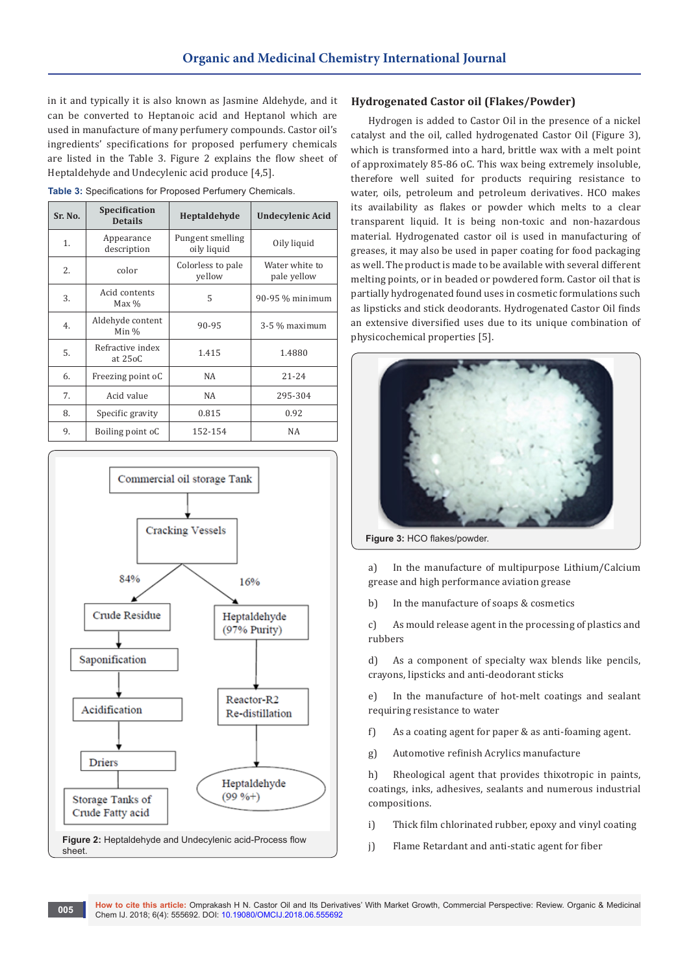in it and typically it is also known as Jasmine Aldehyde, and it can be converted to Heptanoic acid and Heptanol which are used in manufacture of many perfumery compounds. Castor oil's ingredients' specifications for proposed perfumery chemicals are listed in the Table 3. Figure 2 explains the flow sheet of Heptaldehyde and Undecylenic acid produce [4,5].

|  | Table 3: Specifications for Proposed Perfumery Chemicals. |  |  |
|--|-----------------------------------------------------------|--|--|
|  |                                                           |  |  |

| Sr. No. | <b>Specification</b><br><b>Details</b> | Heptaldehyde                    | Undecylenic Acid              |
|---------|----------------------------------------|---------------------------------|-------------------------------|
| 1.      | Appearance<br>description              | Pungent smelling<br>oily liquid | Oily liquid                   |
| 2.      | color                                  | Colorless to pale<br>yellow     | Water white to<br>pale yellow |
| 3.      | Acid contents<br>$Max\%$               | 5                               | 90-95 % minimum               |
| 4.      | Aldehyde content<br>Min $\%$           | 90-95                           | $3-5$ % maximum               |
| 5.      | Refractive index<br>at 25oC            | 1.415                           | 1.4880                        |
| 6.      | Freezing point oC                      | NA                              | $21 - 24$                     |
| 7.      | Acid value                             | NA                              | 295-304                       |
| 8.      | Specific gravity                       | 0.815                           | 0.92                          |
| 9.      | Boiling point oC                       | 152-154                         | NA                            |



#### **Hydrogenated Castor oil (Flakes/Powder)**

Hydrogen is added to Castor Oil in the presence of a nickel catalyst and the oil, called hydrogenated Castor Oil (Figure 3), which is transformed into a hard, brittle wax with a melt point of approximately 85-86 oC. This wax being extremely insoluble, therefore well suited for products requiring resistance to water, oils, petroleum and petroleum derivatives. HCO makes its availability as flakes or powder which melts to a clear transparent liquid. It is being non-toxic and non-hazardous material. Hydrogenated castor oil is used in manufacturing of greases, it may also be used in paper coating for food packaging as well. The product is made to be available with several different melting points, or in beaded or powdered form. Castor oil that is partially hydrogenated found uses in cosmetic formulations such as lipsticks and stick deodorants. Hydrogenated Castor Oil finds an extensive diversified uses due to its unique combination of physicochemical properties [5].



**Figure 3:** HCO flakes/powder.

a) In the manufacture of multipurpose Lithium/Calcium grease and high performance aviation grease

b) In the manufacture of soaps & cosmetics

c) As mould release agent in the processing of plastics and rubbers

d) As a component of specialty wax blends like pencils, crayons, lipsticks and anti-deodorant sticks

e) In the manufacture of hot-melt coatings and sealant requiring resistance to water

- f) As a coating agent for paper & as anti-foaming agent.
- g) Automotive refinish Acrylics manufacture

h) Rheological agent that provides thixotropic in paints, coatings, inks, adhesives, sealants and numerous industrial compositions.

- i) Thick film chlorinated rubber, epoxy and vinyl coating
- j) Flame Retardant and anti-static agent for fiber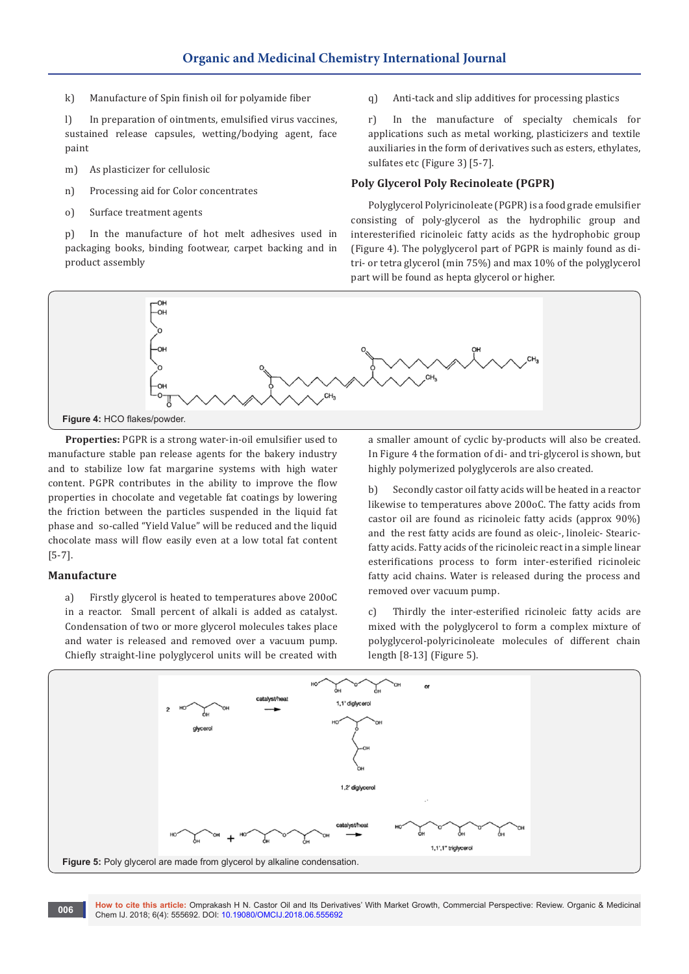k) Manufacture of Spin finish oil for polyamide fiber

l) In preparation of ointments, emulsified virus vaccines, sustained release capsules, wetting/bodying agent, face paint

- m) As plasticizer for cellulosic
- n) Processing aid for Color concentrates
- o) Surface treatment agents

p) In the manufacture of hot melt adhesives used in packaging books, binding footwear, carpet backing and in product assembly

q) Anti-tack and slip additives for processing plastics

r) In the manufacture of specialty chemicals for applications such as metal working, plasticizers and textile auxiliaries in the form of derivatives such as esters, ethylates, sulfates etc (Figure 3) [5-7].

# **Poly Glycerol Poly Recinoleate (PGPR)**

Polyglycerol Polyricinoleate (PGPR) is a food grade emulsifier consisting of poly-glycerol as the hydrophilic group and interesterified ricinoleic fatty acids as the hydrophobic group (Figure 4). The polyglycerol part of PGPR is mainly found as ditri- or tetra glycerol (min 75%) and max 10% of the polyglycerol part will be found as hepta glycerol or higher.



**Properties:** PGPR is a strong water-in-oil emulsifier used to manufacture stable pan release agents for the bakery industry and to stabilize low fat margarine systems with high water content. PGPR contributes in the ability to improve the flow properties in chocolate and vegetable fat coatings by lowering the friction between the particles suspended in the liquid fat phase and so-called "Yield Value" will be reduced and the liquid chocolate mass will flow easily even at a low total fat content [5-7].

# **Manufacture**

a) Firstly glycerol is heated to temperatures above 200oC in a reactor. Small percent of alkali is added as catalyst. Condensation of two or more glycerol molecules takes place and water is released and removed over a vacuum pump. Chiefly straight-line polyglycerol units will be created with

a smaller amount of cyclic by-products will also be created. In Figure 4 the formation of di- and tri-glycerol is shown, but highly polymerized polyglycerols are also created.

b) Secondly castor oil fatty acids will be heated in a reactor likewise to temperatures above 200oC. The fatty acids from castor oil are found as ricinoleic fatty acids (approx 90%) and the rest fatty acids are found as oleic-, linoleic- Stearicfatty acids. Fatty acids of the ricinoleic react in a simple linear esterifications process to form inter-esterified ricinoleic fatty acid chains. Water is released during the process and removed over vacuum pump.

c) Thirdly the inter-esterified ricinoleic fatty acids are mixed with the polyglycerol to form a complex mixture of polyglycerol-polyricinoleate molecules of different chain length [8-13] (Figure 5).

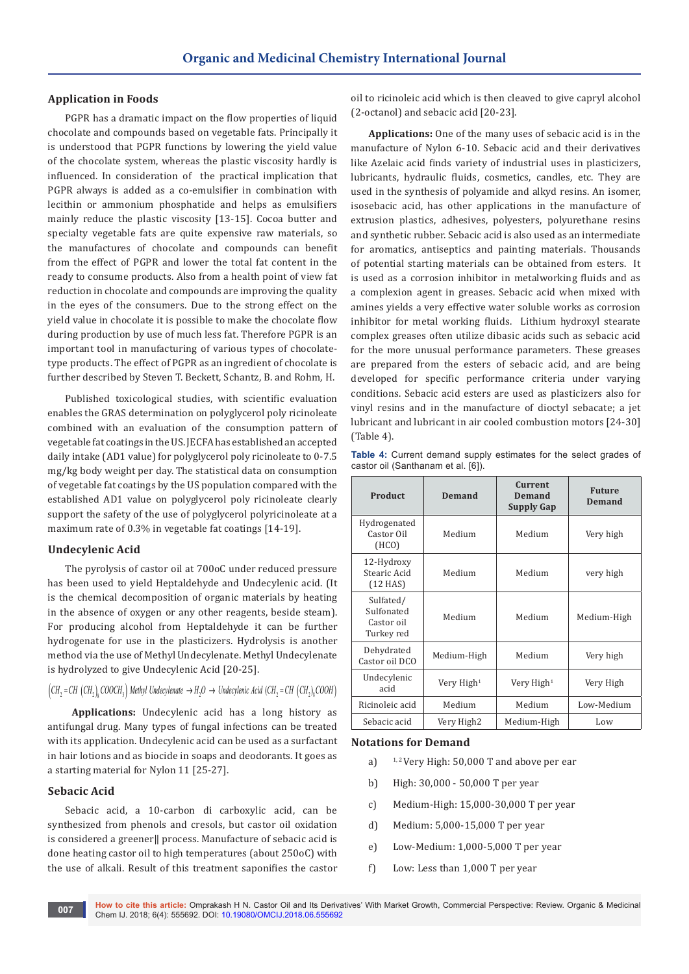# **Application in Foods**

PGPR has a dramatic impact on the flow properties of liquid chocolate and compounds based on vegetable fats. Principally it is understood that PGPR functions by lowering the yield value of the chocolate system, whereas the plastic viscosity hardly is influenced. In consideration of the practical implication that PGPR always is added as a co-emulsifier in combination with lecithin or ammonium phosphatide and helps as emulsifiers mainly reduce the plastic viscosity [13-15]. Cocoa butter and specialty vegetable fats are quite expensive raw materials, so the manufactures of chocolate and compounds can benefit from the effect of PGPR and lower the total fat content in the ready to consume products. Also from a health point of view fat reduction in chocolate and compounds are improving the quality in the eyes of the consumers. Due to the strong effect on the yield value in chocolate it is possible to make the chocolate flow during production by use of much less fat. Therefore PGPR is an important tool in manufacturing of various types of chocolatetype products. The effect of PGPR as an ingredient of chocolate is further described by Steven T. Beckett, Schantz, B. and Rohm, H.

Published toxicological studies, with scientific evaluation enables the GRAS determination on polyglycerol poly ricinoleate combined with an evaluation of the consumption pattern of vegetable fat coatings in the US. JECFA has established an accepted daily intake (AD1 value) for polyglycerol poly ricinoleate to 0-7.5 mg/kg body weight per day. The statistical data on consumption of vegetable fat coatings by the US population compared with the established AD1 value on polyglycerol poly ricinoleate clearly support the safety of the use of polyglycerol polyricinoleate at a maximum rate of 0.3% in vegetable fat coatings [14-19].

## **Undecylenic Acid**

The pyrolysis of castor oil at 700oC under reduced pressure has been used to yield Heptaldehyde and Undecylenic acid. (It is the chemical decomposition of organic materials by heating in the absence of oxygen or any other reagents, beside steam). For producing alcohol from Heptaldehyde it can be further hydrogenate for use in the plasticizers. Hydrolysis is another method via the use of Methyl Undecylenate. Methyl Undecylenate is hydrolyzed to give Undecylenic Acid [20-25].

 $( CH<sub>2</sub> = CH (CH<sub>2</sub>), COOCH<sub>3</sub>)$  Methyl Undecylenate  $\rightarrow H<sub>2</sub>O \rightarrow$  Undecylenic Acid (CH<sub>2</sub> = CH (CH<sub>2</sub>)<sub>s</sub> COOH)

**Applications:** Undecylenic acid has a long history as antifungal drug. Many types of fungal infections can be treated with its application. Undecylenic acid can be used as a surfactant in hair lotions and as biocide in soaps and deodorants. It goes as a starting material for Nylon 11 [25-27].

## **Sebacic Acid**

Sebacic acid, a 10-carbon di carboxylic acid, can be synthesized from phenols and cresols, but castor oil oxidation is considered a greener|| process. Manufacture of sebacic acid is done heating castor oil to high temperatures (about 250oC) with the use of alkali. Result of this treatment saponifies the castor oil to ricinoleic acid which is then cleaved to give capryl alcohol (2-octanol) and sebacic acid [20-23].

**Applications:** One of the many uses of sebacic acid is in the manufacture of Nylon 6-10. Sebacic acid and their derivatives like Azelaic acid finds variety of industrial uses in plasticizers, lubricants, hydraulic fluids, cosmetics, candles, etc. They are used in the synthesis of polyamide and alkyd resins. An isomer, isosebacic acid, has other applications in the manufacture of extrusion plastics, adhesives, polyesters, polyurethane resins and synthetic rubber. Sebacic acid is also used as an intermediate for aromatics, antiseptics and painting materials. Thousands of potential starting materials can be obtained from esters. It is used as a corrosion inhibitor in metalworking fluids and as a complexion agent in greases. Sebacic acid when mixed with amines yields a very effective water soluble works as corrosion inhibitor for metal working fluids. Lithium hydroxyl stearate complex greases often utilize dibasic acids such as sebacic acid for the more unusual performance parameters. These greases are prepared from the esters of sebacic acid, and are being developed for specific performance criteria under varying conditions. Sebacic acid esters are used as plasticizers also for vinyl resins and in the manufacture of dioctyl sebacate; a jet lubricant and lubricant in air cooled combustion motors [24-30] (Table 4).

|  |                                    | Table 4: Current demand supply estimates for the select grades of |  |  |  |
|--|------------------------------------|-------------------------------------------------------------------|--|--|--|
|  | castor oil (Santhanam et al. [6]). |                                                                   |  |  |  |

| <b>Product</b>                                      | Demand      | Current<br>Demand<br><b>Supply Gap</b> | <b>Future</b><br>Demand |  |
|-----------------------------------------------------|-------------|----------------------------------------|-------------------------|--|
| Hydrogenated<br>Castor Oil<br>(HCO)                 | Medium      | Medium                                 | Very high               |  |
| 12-Hydroxy<br>Stearic Acid<br>$(12$ HAS)            | Medium      | Medium                                 | very high               |  |
| Sulfated/<br>Sulfonated<br>Castor oil<br>Turkey red | Medium      | Medium                                 | Medium-High             |  |
| Dehydrated<br>Castor oil DCO                        | Medium-High | Medium                                 | Very high               |  |
| Undecylenic<br>Very $High1$<br>acid                 |             | Very High <sup>1</sup>                 | Very High               |  |
| Ricinoleic acid                                     | Medium      | Medium                                 | Low-Medium              |  |
| Sebacic acid                                        | Very High2  | Medium-High                            | Low                     |  |

#### **Notations for Demand**

- a)  $1, 2$  Very High: 50,000 T and above per ear
- b) High: 30,000 50,000 T per year
- c) Medium-High: 15,000-30,000 T per year
- d) Medium: 5,000-15,000 T per year
- e) Low-Medium: 1,000-5,000 T per year
- f) Low: Less than 1,000 T per year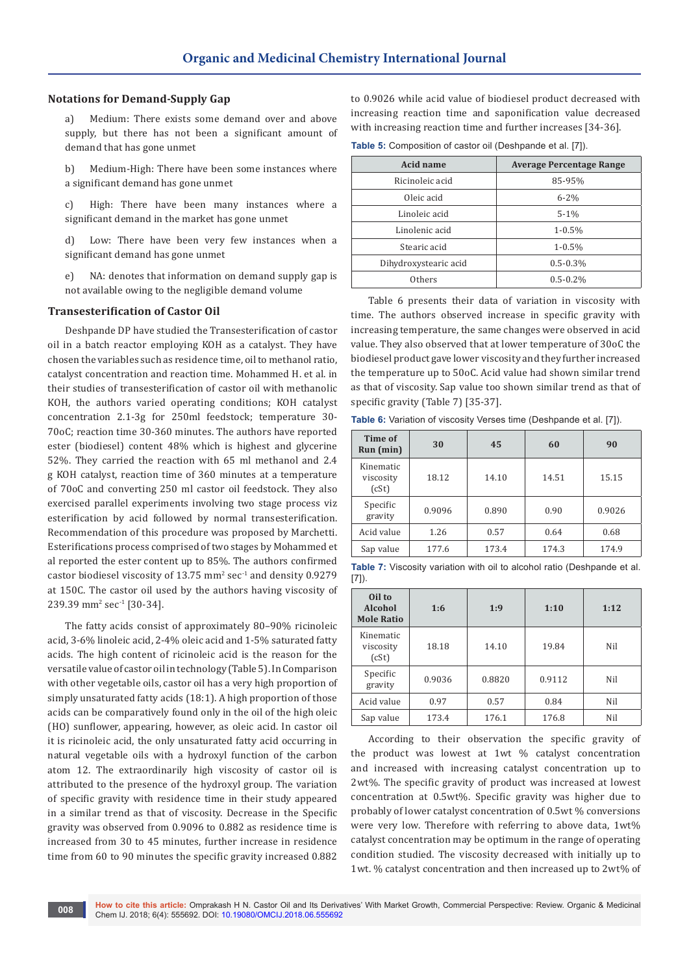### **Notations for Demand-Supply Gap**

a) Medium: There exists some demand over and above supply, but there has not been a significant amount of demand that has gone unmet

b) Medium-High: There have been some instances where a significant demand has gone unmet

c) High: There have been many instances where a significant demand in the market has gone unmet

d) Low: There have been very few instances when a significant demand has gone unmet

e) NA: denotes that information on demand supply gap is not available owing to the negligible demand volume

#### **Transesterification of Castor Oil**

Deshpande DP have studied the Transesterification of castor oil in a batch reactor employing KOH as a catalyst. They have chosen the variables such as residence time, oil to methanol ratio, catalyst concentration and reaction time. Mohammed H. et al. in their studies of transesterification of castor oil with methanolic KOH, the authors varied operating conditions; KOH catalyst concentration 2.1-3g for 250ml feedstock; temperature 30- 70oC; reaction time 30-360 minutes. The authors have reported ester (biodiesel) content 48% which is highest and glycerine 52%. They carried the reaction with 65 ml methanol and 2.4 g KOH catalyst, reaction time of 360 minutes at a temperature of 70oC and converting 250 ml castor oil feedstock. They also exercised parallel experiments involving two stage process viz esterification by acid followed by normal transesterification. Recommendation of this procedure was proposed by Marchetti. Esterifications process comprised of two stages by Mohammed et al reported the ester content up to 85%. The authors confirmed  $\frac{c}{\sqrt{2}}$  castor biodiesel viscosity of 13.75 mm<sup>2</sup> sec<sup>-1</sup> and density 0.9279 at 150C. The castor oil used by the authors having viscosity of  $239.39$  mm<sup>2</sup> sec<sup>-1</sup> [30-34].

The fatty acids consist of approximately 80–90% ricinoleic acid, 3-6% linoleic acid, 2-4% oleic acid and 1-5% saturated fatty acids. The high content of ricinoleic acid is the reason for the versatile value of castor oil in technology (Table 5). In Comparison with other vegetable oils, castor oil has a very high proportion of simply unsaturated fatty acids (18:1). A high proportion of those acids can be comparatively found only in the oil of the high oleic (HO) sunflower, appearing, however, as oleic acid. In castor oil it is ricinoleic acid, the only unsaturated fatty acid occurring in natural vegetable oils with a hydroxyl function of the carbon atom 12. The extraordinarily high viscosity of castor oil is attributed to the presence of the hydroxyl group. The variation of specific gravity with residence time in their study appeared in a similar trend as that of viscosity. Decrease in the Specific gravity was observed from 0.9096 to 0.882 as residence time is increased from 30 to 45 minutes, further increase in residence time from 60 to 90 minutes the specific gravity increased 0.882

to 0.9026 while acid value of biodiesel product decreased with increasing reaction time and saponification value decreased with increasing reaction time and further increases [34-36].

**Table 5:** Composition of castor oil (Deshpande et al. [7]).

| Acid name             | <b>Average Percentage Range</b> |
|-----------------------|---------------------------------|
| Ricinoleic acid       | 85-95%                          |
| Oleic acid            | $6 - 2\%$                       |
| Linoleic acid         | $5 - 1\%$                       |
| Linolenic acid        | $1 - 0.5\%$                     |
| Stearic acid          | $1 - 0.5\%$                     |
| Dihydroxystearic acid | $0.5 - 0.3\%$                   |
| Others                | $0.5 - 0.2\%$                   |

Table 6 presents their data of variation in viscosity with time. The authors observed increase in specific gravity with increasing temperature, the same changes were observed in acid value. They also observed that at lower temperature of 30oC the biodiesel product gave lower viscosity and they further increased the temperature up to 50oC. Acid value had shown similar trend as that of viscosity. Sap value too shown similar trend as that of specific gravity (Table 7) [35-37].

**Table 6:** Variation of viscosity Verses time (Deshpande et al. [7]).

| Time of<br>Run (min)            | 30     | 45    | 60    | 90     |
|---------------------------------|--------|-------|-------|--------|
| Kinematic<br>viscosity<br>(cSt) | 18.12  | 14.10 | 14.51 | 15.15  |
| Specific<br>gravity             | 0.9096 | 0.890 | 0.90  | 0.9026 |
| Acid value                      | 1.26   | 0.57  | 0.64  | 0.68   |
| Sap value                       | 177.6  | 173.4 | 174.3 | 174.9  |

**Table 7:** Viscosity variation with oil to alcohol ratio (Deshpande et al. [7]).

| Oil to<br>Alcohol<br><b>Mole Ratio</b> | 1:6    | 1:9    | 1:10   | 1:12 |
|----------------------------------------|--------|--------|--------|------|
| Kinematic<br>viscosity<br>(cSt)        | 18.18  | 14.10  | 19.84  | Nil  |
| Specific<br>gravity                    | 0.9036 | 0.8820 | 0.9112 | Nil  |
| Acid value                             | 0.97   | 0.57   | 0.84   | Nil  |
| Sap value                              | 173.4  | 176.1  | 176.8  | Nil  |

According to their observation the specific gravity of the product was lowest at 1wt % catalyst concentration and increased with increasing catalyst concentration up to 2wt%. The specific gravity of product was increased at lowest concentration at 0.5wt%. Specific gravity was higher due to probably of lower catalyst concentration of 0.5wt % conversions were very low. Therefore with referring to above data, 1wt% catalyst concentration may be optimum in the range of operating condition studied. The viscosity decreased with initially up to 1wt. % catalyst concentration and then increased up to 2wt% of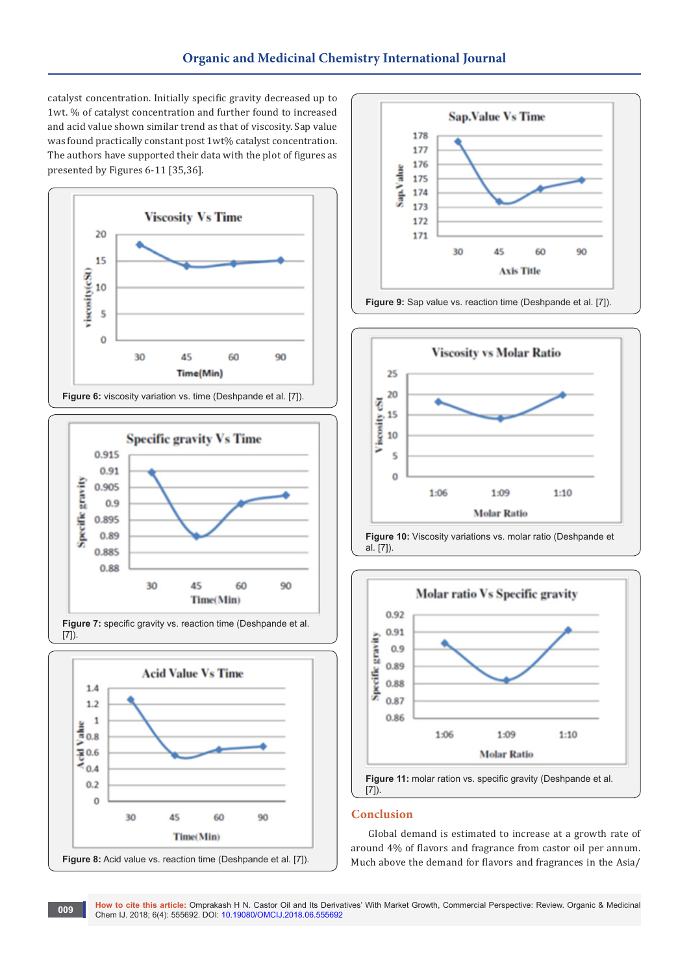catalyst concentration. Initially specific gravity decreased up to 1wt. % of catalyst concentration and further found to increased and acid value shown similar trend as that of viscosity. Sap value was found practically constant post 1wt% catalyst concentration. The authors have supported their data with the plot of figures as presented by Figures 6-11 [35,36].















## **Conclusion**

Global demand is estimated to increase at a growth rate of around 4% of flavors and fragrance from castor oil per annum. Much above the demand for flavors and fragrances in the Asia/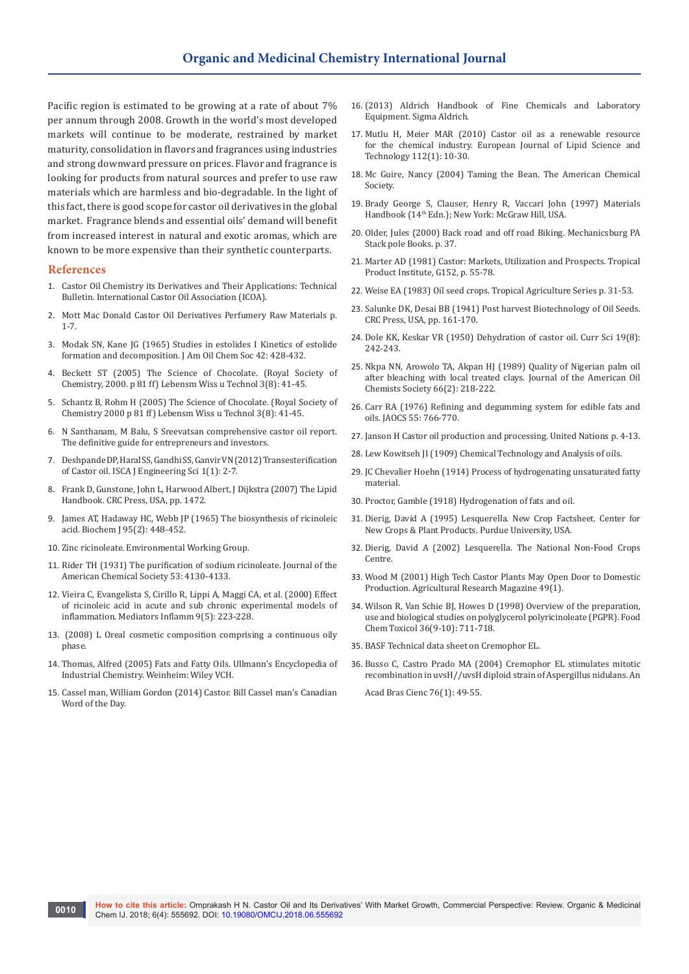Pacific region is estimated to be growing at a rate of about 7% per annum through 2008. Growth in the world's most developed markets will continue to be moderate, restrained by market maturity, consolidation in flavors and fragrances using industries and strong downward pressure on prices. Flavor and fragrance is looking for products from natural sources and prefer to use raw materials which are harmless and bio-degradable. In the light of this fact, there is good scope for castor oil derivatives in the global market. Fragrance blends and essential oils' demand will benefit from increased interest in natural and exotic aromas, which are known to be more expensive than their synthetic counterparts.

#### **References**

- 1. [Castor Oil Chemistry its Derivatives and Their Applications: Technical](http://www.icoa.org/publications/)  [Bulletin. International Castor Oil Association \(ICOA\).](http://www.icoa.org/publications/)
- 2. Mott Mac Donald Castor Oil Derivatives Perfumery Raw Materials p. 1-7.
- 3. Modak SN, Kane [JG \(1965\) Studies in estolides I Kinetics of estolide](https://onlinelibrary.wiley.com/doi/abs/10.1007/BF02635584)  [formation and decomposition. J Am](https://onlinelibrary.wiley.com/doi/abs/10.1007/BF02635584) Oil Chem Soc 42: 428-432.
- 4. [Beckett ST \(2005\) The Science of Chocolate. \(Royal Society of](https://pubs.acs.org/doi/abs/10.1021/ed079p167.2https:/onlinelibrary.wiley.com/doi/abs/10.1007/BF02635584)  [Chemistry, 2000. p 81 ff\) Lebensm Wiss u Technol 3\(8\): 41-45.](https://pubs.acs.org/doi/abs/10.1021/ed079p167.2https:/onlinelibrary.wiley.com/doi/abs/10.1007/BF02635584)
- 5. Schantz B, Rohm H (2005) The Science of Chocolate. (Royal Society of Chemistry 2000 p 81 ff) Lebensm Wiss u Technol 3(8): 41-45.
- 6. [N Santhanam, M Balu, S Sreevatsan comprehensive castor oil report.](http://www.castoroil.in)  [The definitive guide for entrepreneurs and investors](http://www.castoroil.in).
- 7. [Deshpande DP, Haral SS, Gandhi SS, Ganvir VN \(2012\) Transesterification](https://www.google.com/url?sa=t&rct=j&q=&esrc=s&source=web&cd=1&ved=0ahUKEwiFmrbYg_jaAhUQTI8KHV47BOAQFggmMAA&url=http%3A%2F%2Fwww.isca.in%2FIJES%2FArchive%2Fv1%2Fi1%2F1.ISCA-JEngS-2012-001.pdf&usg=AOvVaw1uMHOqzpq5plHg55ndityM)  [of Castor oil. ISCA J Engineering Sci 1\(1\): 2-7.](https://www.google.com/url?sa=t&rct=j&q=&esrc=s&source=web&cd=1&ved=0ahUKEwiFmrbYg_jaAhUQTI8KHV47BOAQFggmMAA&url=http%3A%2F%2Fwww.isca.in%2FIJES%2FArchive%2Fv1%2Fi1%2F1.ISCA-JEngS-2012-001.pdf&usg=AOvVaw1uMHOqzpq5plHg55ndityM)
- 8. Frank D, Gunstone, John L, Harwood Albert, J Dijkstra (2007) The Lipid Handbook. CRC Press, USA, pp. 1472.
- 9. James AT, Hadaway HC, Webb JP (1965) [The biosynthesis of ricinoleic](https://www.ncbi.nlm.nih.gov/pmc/articles/PMC1214342)  [acid](https://www.ncbi.nlm.nih.gov/pmc/articles/PMC1214342). Biochem J 95(2): 448-452.
- 10. Zinc ricinoleate. [Environmental Working Group.](http://www.ewg.org/chemindex/chemicals/24874https:/en.wikipedia.org/wiki/Environmental_Working_Group)
- 11. Rider TH (1931) [The purification of sodium ricinoleate.](http://pubs.acs.org/doi/abs/10.1021/ja01362a031https:/en.wikipedia.org/wiki/Journal_of_the_American_Chemical_Society) Journal of the [American Chemical Society](http://pubs.acs.org/doi/abs/10.1021/ja01362a031https:/en.wikipedia.org/wiki/Journal_of_the_American_Chemical_Society) 53: 4130-4133.
- 12. [Vieira C, Evangelista S, Cirillo R, Lippi A, Maggi CA, et al. \(2000\)](https://www.ncbi.nlm.nih.gov/pmc/articles/PMC1781768) Effect [of ricinoleic acid in acute and sub chronic experimental models of](https://www.ncbi.nlm.nih.gov/pmc/articles/PMC1781768)  inflammation. [Mediators Inflamm](https://www.ncbi.nlm.nih.gov/pmc/articles/PMC1781768) 9(5): 223-228.
- 13. (2008) L Oreal cosmetic composition comprising a continuous oily phase.
- 14. [Thomas, Alfred \(2005\) Fats and Fatty Oils.](https://onlinelibrary.wiley.com/doi/abs/10.1002/14356007.a10_173.pub2) Ullmann's Encyclopedia of [Industrial Chemistry. Weinheim: Wiley VCH.](https://onlinelibrary.wiley.com/doi/abs/10.1002/14356007.a10_173.pub2)
- 15. [Cassel man, William Gordon \(2014\) Castor.](http://www.billcasselman.com/cwod_archive/beaver_castor_two.htm) Bill Cassel man's Canadian [Word of the Day.](http://www.billcasselman.com/cwod_archive/beaver_castor_two.htm)
- 16. (2013) Aldrich Handbook of Fine Chemicals and Laboratory Equipment. Sigma Aldrich.
- 17. [Mutlu H, Meier MAR \(2010\) Castor oil as a renewable resource](https://onlinelibrary.wiley.com/doi/abs/10.1002/ejlt.200900138)  for the chemical industry. [European Journal of Lipid Science and](https://onlinelibrary.wiley.com/doi/abs/10.1002/ejlt.200900138)  Technology [112\(1\): 10-30.](https://onlinelibrary.wiley.com/doi/abs/10.1002/ejlt.200900138)
- 18. Mc Guire, Nancy (2004) [Taming the Bean. The American Chemical](https://web.archive.org/20060927062935/http:/www.chemistry.org/portal/a/c/s/1/feature_pro.html?id=c373e9faf603d46b8f6a4fd8fe800100)  **Society**
- 19. Brady George S, Clauser, Henry R, Vaccari John (1997) Materials Handbook (14th Edn.); New York: McGraw Hill, USA.
- 20. Older, Jules (2000) Back road and off road Biking. Mechanicsburg PA Stack pole Books. p. 37.
- 21. Marter AD (1981) Castor: Markets, Utilization and Prospects. Tropical Product Institute, G152, p. 55-78.
- 22. Weise EA (1983) Oil seed crops. Tropical Agriculture Series p. 31-53.
- 23. Salunke DK, Desai BB (1941) [Post harvest Biotechnology of Oil Seeds.](http://agris.fao.org/agris-search/search.do?recordID=US8823890)  [CRC Press, USA, pp. 161-170.](http://agris.fao.org/agris-search/search.do?recordID=US8823890)
- 24. Dole KK, Keskar VR (1950) [Dehydration of castor oil. Curr Sci 19\(8\):](https://europepmc.org/abstract/med/14778300)  [242-243.](https://europepmc.org/abstract/med/14778300)
- 25. Nkpa NN, Arowolo TA, Akpan HJ (1989) Quality of Nigerian palm oil after bleaching with local treated clays. Journal of the American Oil Chemists Society 66(2): 218-222.
- 26. Carr RA (1976) Refining and degumming system for edible fats and oils. JAOCS 55: 766-770.
- 27. Janson H [Castor oil production and processing. United Nations p. 4-13.](http://agris.fao.org/agris-search/search.do?recordID=XF19750030895)
- 28. Lew Kowitseh JI (1909) Chemical Technology and Analysis of oils.
- 29. JC Chevalier Hoehn (1914) Process of hydrogenating unsaturated fatty material.
- 30. Proctor, Gamble (1918) Hydrogenation of fats and oil.
- 31. Dierig, David A (1995) Lesquerella. [New Crop Factsheet. Center for](http://www.hort.purdue.edu/newcrop/cropfactsheets/Lesquerella.html)  [New Crops & Plant Products. Purdue University, USA.](http://www.hort.purdue.edu/newcrop/cropfactsheets/Lesquerella.html)
- 32. Dierig, David A (2002) [Lesquerella. The National Non-Food Crops](http://www.nnfcc.co.uk/crops/info/lesquerella.pdf)  [Centre.](http://www.nnfcc.co.uk/crops/info/lesquerella.pdf)
- 33. Wood M (2001) [High Tech Castor Plants May Open Door to Domestic](http://www.ars.usda.gov/is/AR/archive/jan01/plant0101.htm)  Production. [Agricultural Research Magazine](http://www.ars.usda.gov/is/AR/archive/jan01/plant0101.htm) 49(1).
- 34. [Wilson R, Van Schie BJ, Howes D \(1998\)](http://linkinghub.elsevier.com/retrieve/pii/S0278-6915(98)00057-X) Overview of the preparation, [use and biological studies on polyglycerol polyricinoleate \(PGPR\).](http://linkinghub.elsevier.com/retrieve/pii/S0278-6915(98)00057-X) Food Chem Toxicol [36\(9-10\): 711-718.](http://linkinghub.elsevier.com/retrieve/pii/S0278-6915(98)00057-X)
- 35. [BASF Technical data sheet on Cremophor EL.](http://www.basf-korea.co.kr/.../04_finechemicals/document/cosmetic/tech/surfactants/down.asp?file=cremophorel.pdf)
- 36. [Busso C, Castro Prado MA \(2004\)](http://www.scielo.br/scielo.php?script=sci_arttext&pid=S0001-37652004000100005&lng=en&nrm=iso&tlng=en) Cremophor EL stimulates mitotic [recombination in uvsH//uvsH diploid strain of Aspergillus nidulans.](http://www.scielo.br/scielo.php?script=sci_arttext&pid=S0001-37652004000100005&lng=en&nrm=iso&tlng=en) An

[Acad Bras Cienc](http://www.scielo.br/scielo.php?script=sci_arttext&pid=S0001-37652004000100005&lng=en&nrm=iso&tlng=en) 76(1): 49-55.